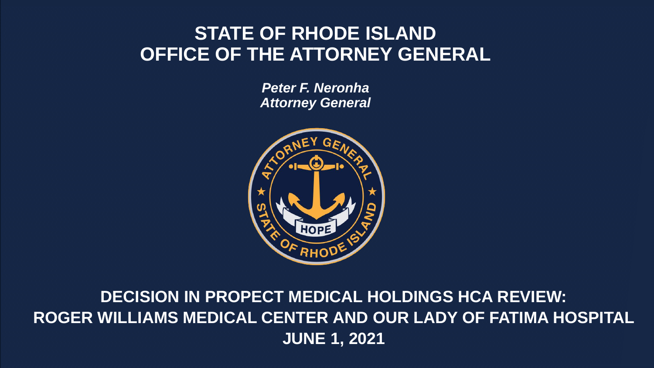#### **STATE OF RHODE ISLAND OFFICE OF THE ATTORNEY GENERAL**

*Peter F. Neronha Attorney General*



**DECISION IN PROPECT MEDICAL HOLDINGS HCA REVIEW: ROGER WILLIAMS MEDICAL CENTER AND OUR LADY OF FATIMA HOSPITAL JUNE 1, 2021**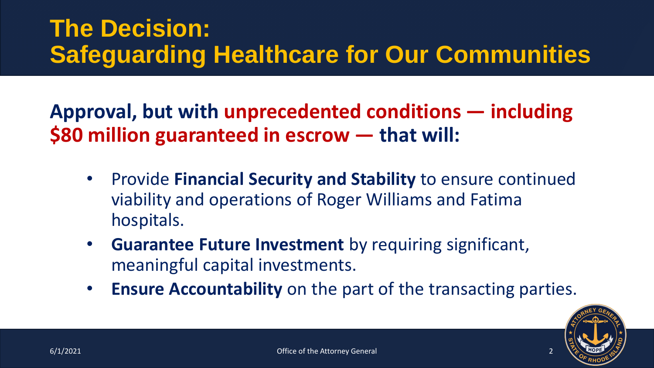## **The Decision: Safeguarding Healthcare for Our Communities**

**Approval, but with unprecedented conditions — including \$80 million guaranteed in escrow — that will:**

- Provide **Financial Security and Stability** to ensure continued viability and operations of Roger Williams and Fatima hospitals.
- **Guarantee Future Investment** by requiring significant, meaningful capital investments.
- **Ensure Accountability** on the part of the transacting parties.

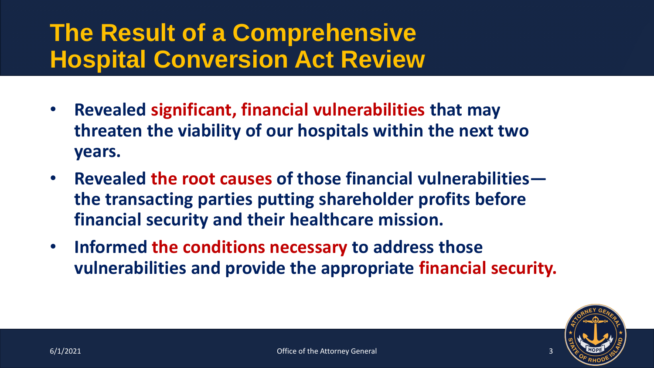## **The Result of a Comprehensive Hospital Conversion Act Review**

- **Revealed significant, financial vulnerabilities that may threaten the viability of our hospitals within the next two years.**
- **Revealed the root causes of those financial vulnerabilities the transacting parties putting shareholder profits before financial security and their healthcare mission.**
- **Informed the conditions necessary to address those vulnerabilities and provide the appropriate financial security.**

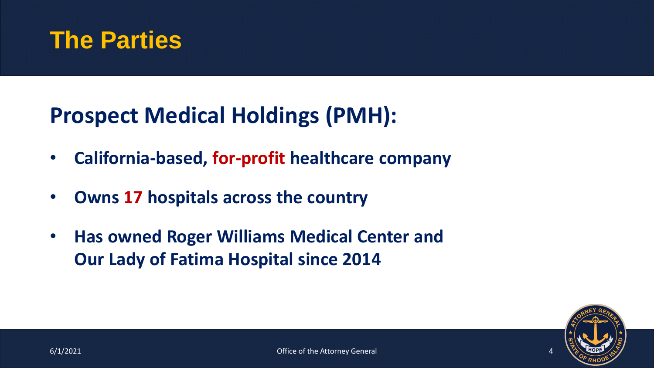

#### **Prospect Medical Holdings (PMH):**

- **California-based, for-profit healthcare company**
- **Owns 17 hospitals across the country**
- **Has owned Roger Williams Medical Center and Our Lady of Fatima Hospital since 2014**

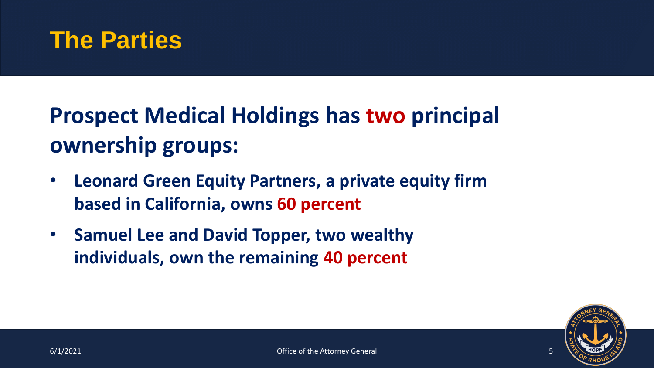#### **The Parties**

# **Prospect Medical Holdings has two principal ownership groups:**

- **Leonard Green Equity Partners, a private equity firm based in California, owns 60 percent**
- **Samuel Lee and David Topper, two wealthy individuals, own the remaining 40 percent**

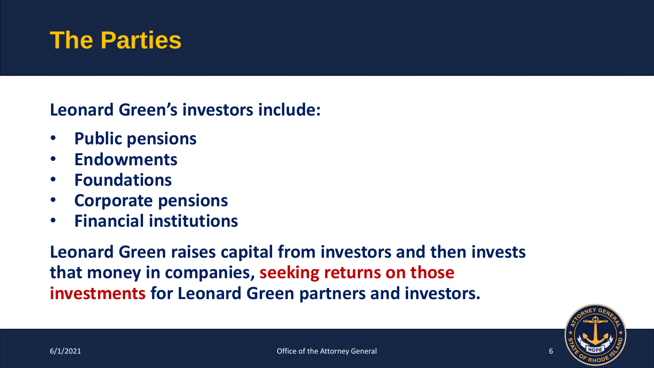#### **The Parties**

**Leonard Green's investors include:**

- **Public pensions**
- **Endowments**
- **Foundations**
- **Corporate pensions**
- **Financial institutions**

**Leonard Green raises capital from investors and then invests that money in companies, seeking returns on those investments for Leonard Green partners and investors.** 

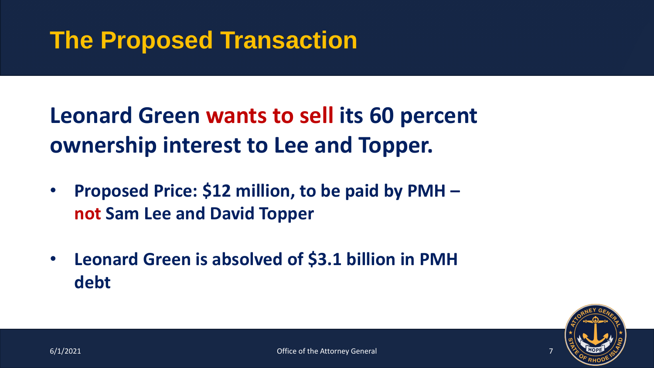## **The Proposed Transaction**

**Leonard Green wants to sell its 60 percent ownership interest to Lee and Topper.**

- **Proposed Price: \$12 million, to be paid by PMH – not Sam Lee and David Topper**
- **Leonard Green is absolved of \$3.1 billion in PMH debt**

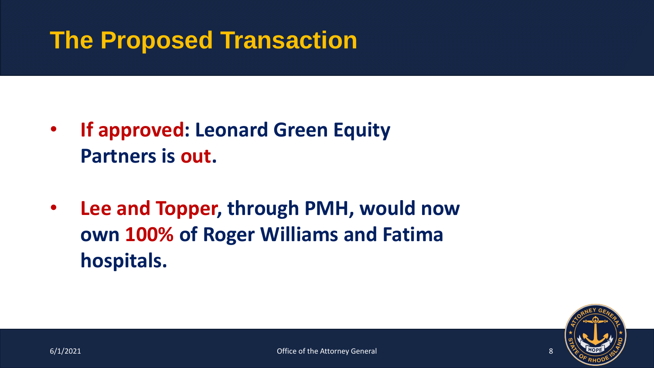## **The Proposed Transaction**

- **If approved: Leonard Green Equity Partners is out.**
- **Lee and Topper, through PMH, would now own 100% of Roger Williams and Fatima hospitals.**

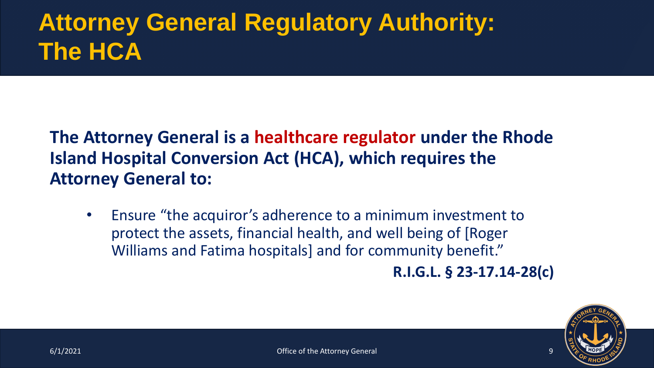# **Attorney General Regulatory Authority: The HCA**

#### **The Attorney General is a healthcare regulator under the Rhode Island Hospital Conversion Act (HCA), which requires the Attorney General to:**

• Ensure "the acquiror's adherence to a minimum investment to protect the assets, financial health, and well being of [Roger Williams and Fatima hospitals] and for community benefit."

**R.I.G.L. § 23-17.14-28(c)**

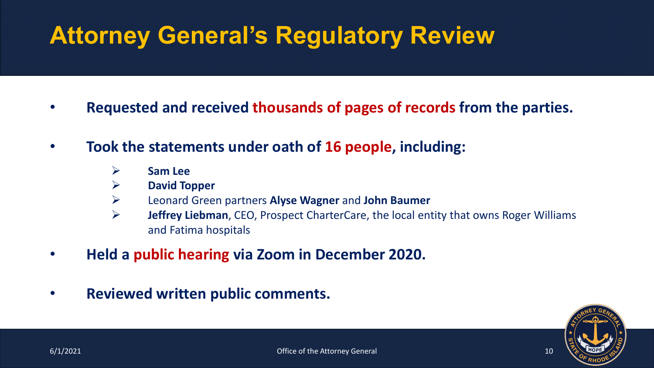# **Attorney General's Regulatory Review**

- **Requested and received thousands of pages of records from the parties.**
- **Took the statements under oath of 16 people, including:**
	- ➢ **Sam Lee**
	- ➢ **David Topper**
	- ➢ Leonard Green partners **Alyse Wagner** and **John Baumer**
	- ➢ **Jeffrey Liebman**, CEO, Prospect CharterCare, the local entity that owns Roger Williams and Fatima hospitals
- **Held a public hearing via Zoom in December 2020.**
- **Reviewed written public comments.**

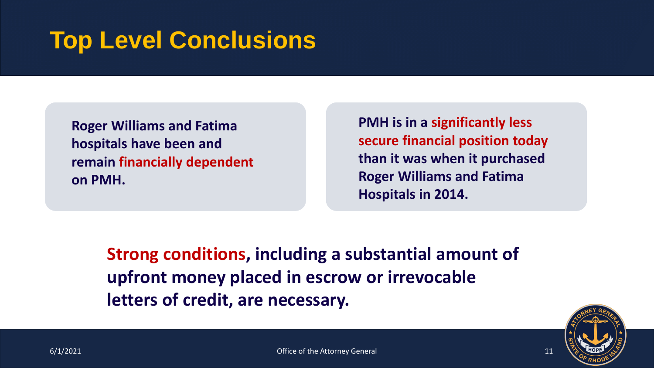## **Top Level Conclusions**

**Roger Williams and Fatima hospitals have been and remain financially dependent on PMH.** 

**PMH is in a significantly less secure financial position today than it was when it purchased Roger Williams and Fatima Hospitals in 2014.**

**Strong conditions, including a substantial amount of upfront money placed in escrow or irrevocable letters of credit, are necessary.**

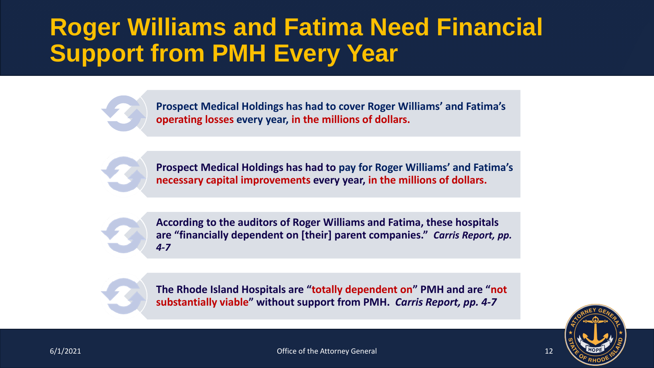### **Roger Williams and Fatima Need Financial Support from PMH Every Year**

**Prospect Medical Holdings has had to cover Roger Williams' and Fatima's operating losses every year, in the millions of dollars.**

**Prospect Medical Holdings has had to pay for Roger Williams' and Fatima's necessary capital improvements every year, in the millions of dollars.**

**According to the auditors of Roger Williams and Fatima, these hospitals are "financially dependent on [their] parent companies."** *Carris Report, pp. 4-7*

**The Rhode Island Hospitals are "totally dependent on" PMH and are "not substantially viable" without support from PMH.** *Carris Report, pp. 4-7*

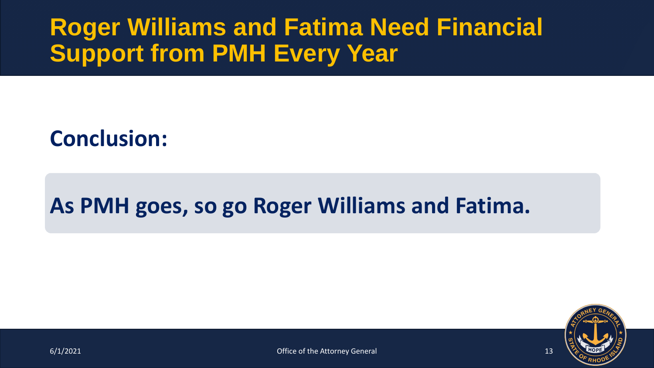## **Roger Williams and Fatima Need Financial Support from PMH Every Year**

#### **Conclusion:**

#### **As PMH goes, so go Roger Williams and Fatima.**

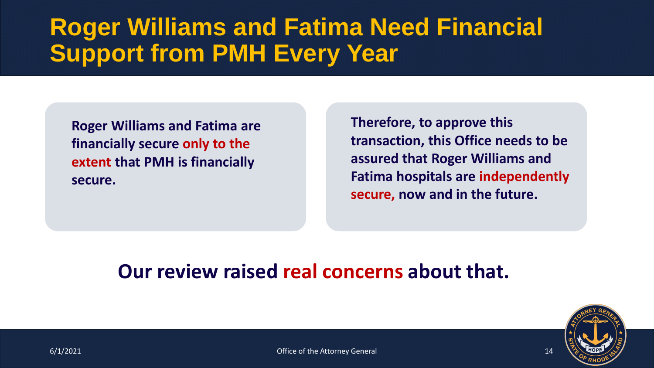## **Roger Williams and Fatima Need Financial Support from PMH Every Year**

**Roger Williams and Fatima are financially secure only to the extent that PMH is financially secure.**

**Therefore, to approve this transaction, this Office needs to be assured that Roger Williams and Fatima hospitals are independently secure, now and in the future.**

#### **Our review raised real concerns about that.**

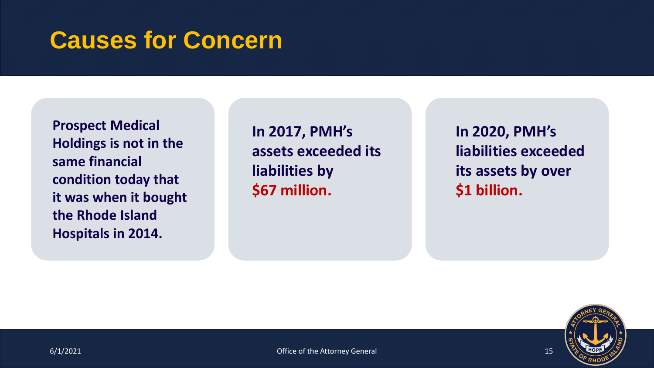#### **Causes for Concern**

**Prospect Medical Holdings is not in the same financial condition today that it was when it bought the Rhode Island Hospitals in 2014.**

**In 2017, PMH's assets exceeded its liabilities by \$67 million.**

**In 2020, PMH's liabilities exceeded its assets by over \$1 billion.**

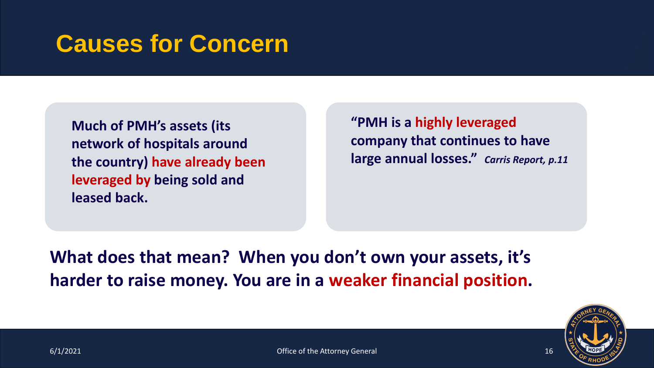## **Causes for Concern**

**Much of PMH's assets (its network of hospitals around the country) have already been leveraged by being sold and leased back.**

**"PMH is a highly leveraged company that continues to have large annual losses."** *Carris Report, p.11*

**What does that mean? When you don't own your assets, it's harder to raise money. You are in a weaker financial position.**

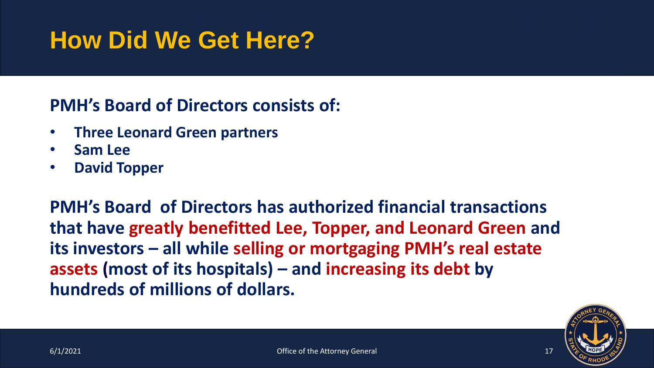## **How Did We Get Here?**

#### **PMH's Board of Directors consists of:**

- **Three Leonard Green partners**
- **Sam Lee**
- **David Topper**

**PMH's Board of Directors has authorized financial transactions that have greatly benefitted Lee, Topper, and Leonard Green and its investors – all while selling or mortgaging PMH's real estate assets (most of its hospitals) – and increasing its debt by hundreds of millions of dollars.**

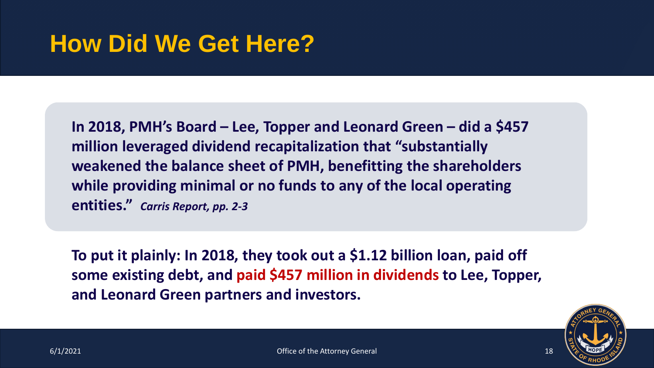### **How Did We Get Here?**

**In 2018, PMH's Board – Lee, Topper and Leonard Green – did a \$457 million leveraged dividend recapitalization that "substantially weakened the balance sheet of PMH, benefitting the shareholders while providing minimal or no funds to any of the local operating entities."** *Carris Report, pp. 2-3*

**To put it plainly: In 2018, they took out a \$1.12 billion loan, paid off some existing debt, and paid \$457 million in dividends to Lee, Topper, and Leonard Green partners and investors.**

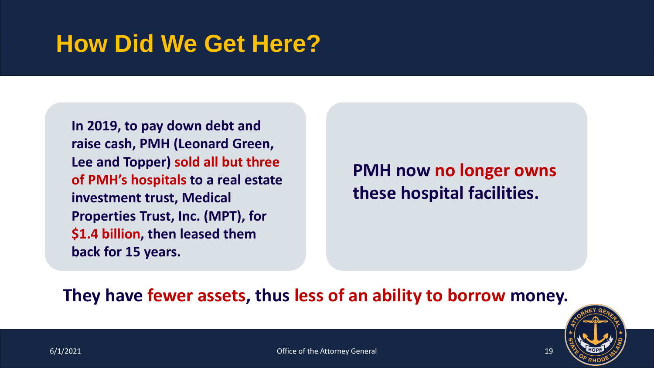### **How Did We Get Here?**

**In 2019, to pay down debt and raise cash, PMH (Leonard Green, Lee and Topper) sold all but three of PMH's hospitals to a real estate investment trust, Medical Properties Trust, Inc. (MPT), for \$1.4 billion, then leased them back for 15 years.**

**PMH now no longer owns these hospital facilities.**

#### **They have fewer assets, thus less of an ability to borrow money.**

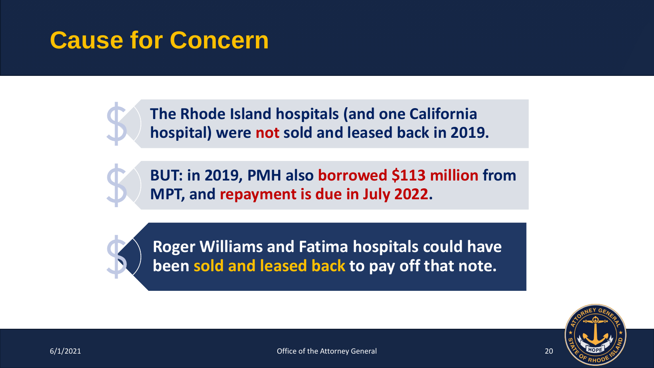### **Cause for Concern**

**The Rhode Island hospitals (and one California hospital) were not sold and leased back in 2019.**

**BUT: in 2019, PMH also borrowed \$113 million from MPT, and repayment is due in July 2022.** 



**Roger Williams and Fatima hospitals could have been sold and leased back to pay off that note.**

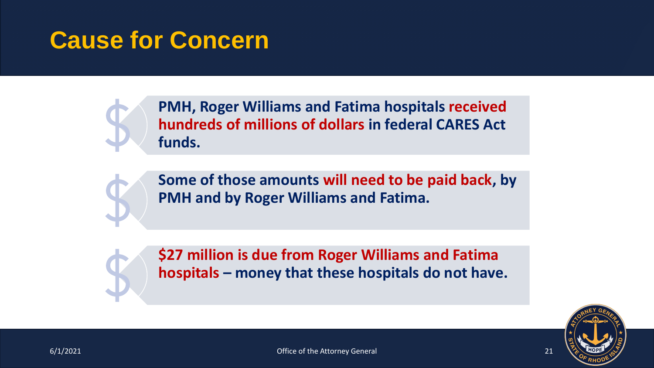### **Cause for Concern**



**PMH, Roger Williams and Fatima hospitals received hundreds of millions of dollars in federal CARES Act funds.**



**Some of those amounts will need to be paid back, by PMH and by Roger Williams and Fatima.**

**\$27 million is due from Roger Williams and Fatima hospitals – money that these hospitals do not have.** 

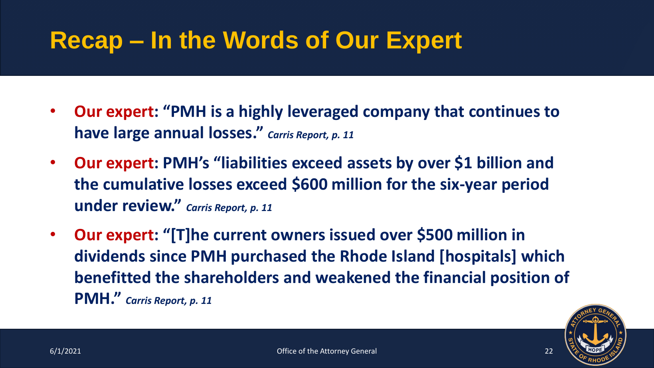### **Recap – In the Words of Our Expert**

- **Our expert: "PMH is a highly leveraged company that continues to have large annual losses."** *Carris Report, p. 11*
- **Our expert: PMH's "liabilities exceed assets by over \$1 billion and the cumulative losses exceed \$600 million for the six-year period under review."** *Carris Report, p. 11*
- **Our expert: "[T]he current owners issued over \$500 million in dividends since PMH purchased the Rhode Island [hospitals] which benefitted the shareholders and weakened the financial position of PMH."** *Carris Report, p. 11*

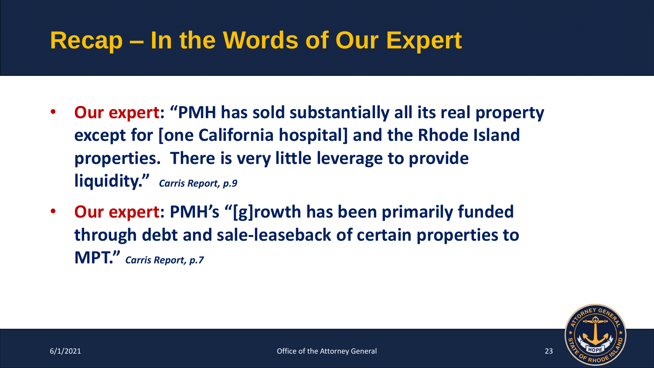### **Recap – In the Words of Our Expert**

- **Our expert: "PMH has sold substantially all its real property except for [one California hospital] and the Rhode Island properties. There is very little leverage to provide liquidity."** *Carris Report, p.9*
- **Our expert: PMH's "[g]rowth has been primarily funded through debt and sale-leaseback of certain properties to MPT."** *Carris Report, p.7*

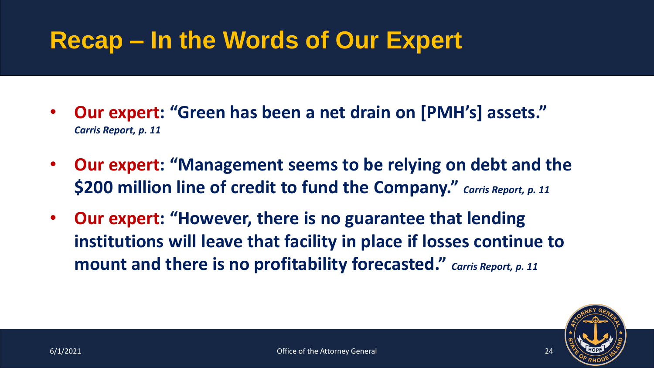## **Recap – In the Words of Our Expert**

- **Our expert: "Green has been a net drain on [PMH's] assets."**  *Carris Report, p. 11*
- **Our expert: "Management seems to be relying on debt and the \$200 million line of credit to fund the Company."** *Carris Report, p. 11*
- **Our expert: "However, there is no guarantee that lending institutions will leave that facility in place if losses continue to mount and there is no profitability forecasted."** *Carris Report, p. 11*

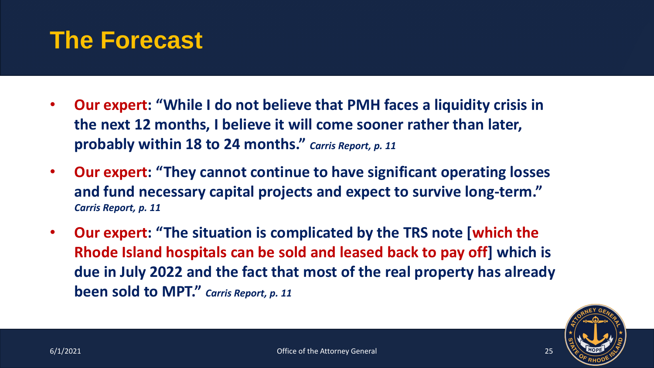#### **The Forecast**

- **Our expert: "While I do not believe that PMH faces a liquidity crisis in the next 12 months, I believe it will come sooner rather than later, probably within 18 to 24 months."** *Carris Report, p. 11*
- **Our expert: "They cannot continue to have significant operating losses and fund necessary capital projects and expect to survive long-term."**  *Carris Report, p. 11*
- **Our expert: "The situation is complicated by the TRS note [which the Rhode Island hospitals can be sold and leased back to pay off] which is due in July 2022 and the fact that most of the real property has already been sold to MPT."** *Carris Report, p. 11*

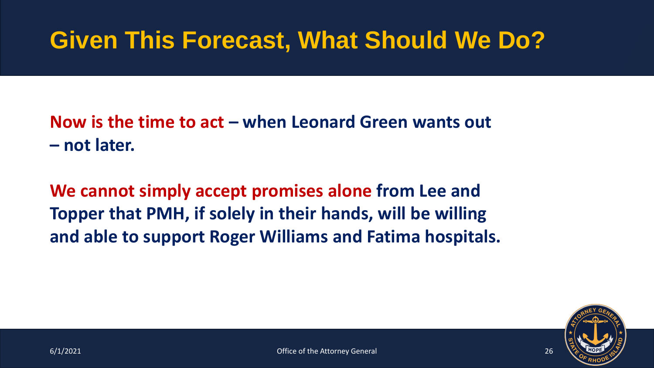## **Given This Forecast, What Should We Do?**

**Now is the time to act – when Leonard Green wants out – not later.**

**We cannot simply accept promises alone from Lee and Topper that PMH, if solely in their hands, will be willing and able to support Roger Williams and Fatima hospitals.**

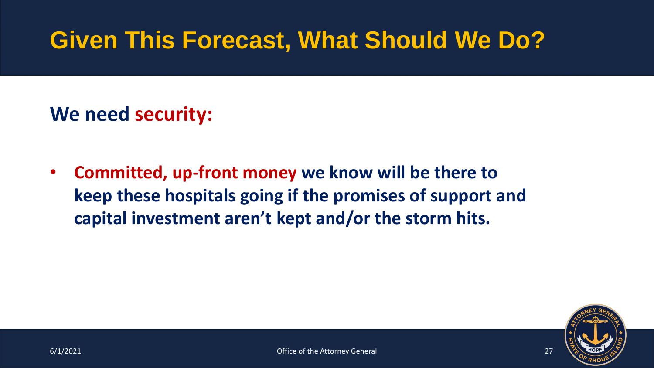## **Given This Forecast, What Should We Do?**

#### **We need security:**

• **Committed, up-front money we know will be there to keep these hospitals going if the promises of support and capital investment aren't kept and/or the storm hits.**

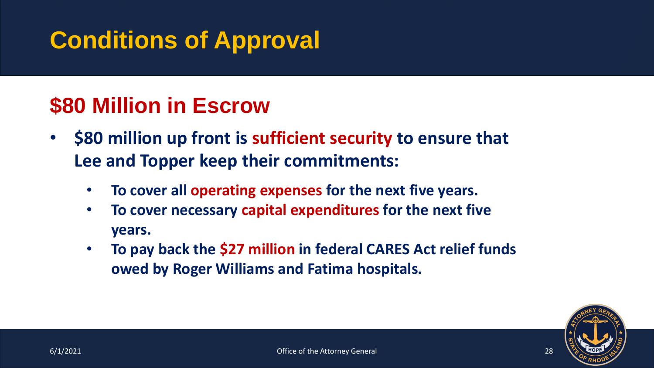#### **\$80 Million in Escrow**

- **\$80 million up front is sufficient security to ensure that Lee and Topper keep their commitments:**
	- **To cover all operating expenses for the next five years.**
	- **To cover necessary capital expenditures for the next five years.**
	- **To pay back the \$27 million in federal CARES Act relief funds owed by Roger Williams and Fatima hospitals.**

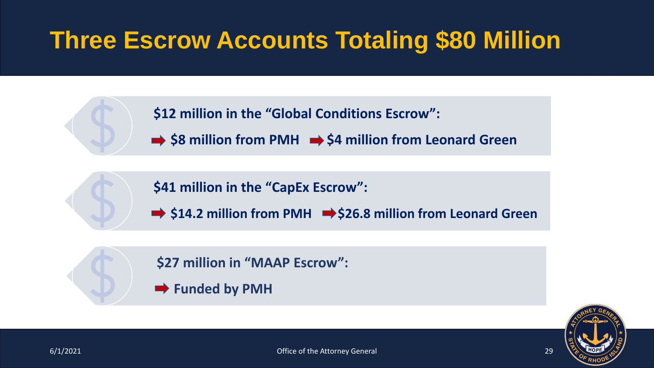## **Three Escrow Accounts Totaling \$80 Million**

**\$12 million in the "Global Conditions Escrow":**

 $\Rightarrow$  \$8 million from PMH  $\Rightarrow$  \$4 million from Leonard Green

**\$41 million in the "CapEx Escrow":**

 $\rightarrow$  \$14.2 million from PMH  $\rightarrow$  \$26.8 million from Leonard Green

**\$27 million in "MAAP Escrow":**

 $\rightarrow$  Funded by PMH

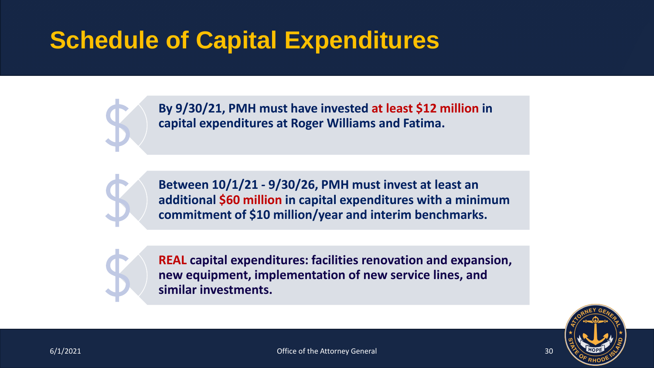## **Schedule of Capital Expenditures**

**By 9/30/21, PMH must have invested at least \$12 million in capital expenditures at Roger Williams and Fatima.**



**Between 10/1/21 - 9/30/26, PMH must invest at least an additional \$60 million in capital expenditures with a minimum commitment of \$10 million/year and interim benchmarks.**



**REAL capital expenditures: facilities renovation and expansion, new equipment, implementation of new service lines, and similar investments.** 

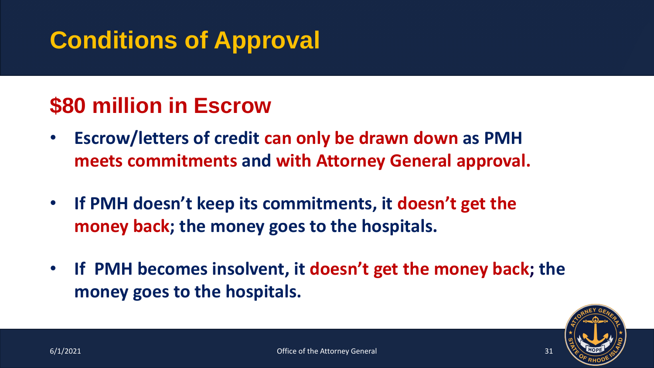#### **\$80 million in Escrow**

- **Escrow/letters of credit can only be drawn down as PMH meets commitments and with Attorney General approval.**
- **If PMH doesn't keep its commitments, it doesn't get the money back; the money goes to the hospitals.**
- **If PMH becomes insolvent, it doesn't get the money back; the money goes to the hospitals.**

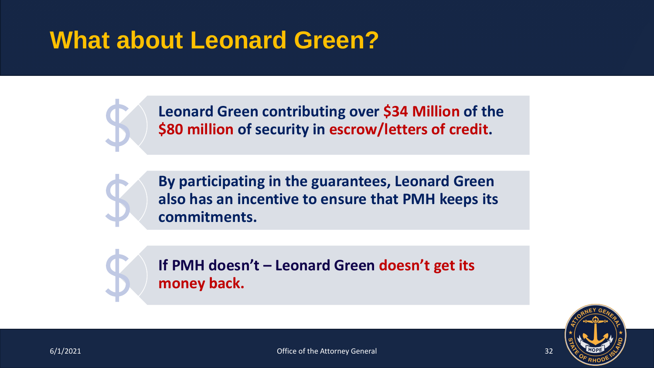## **What about Leonard Green?**



**Leonard Green contributing over \$34 Million of the \$80 million of security in escrow/letters of credit.** 



**By participating in the guarantees, Leonard Green also has an incentive to ensure that PMH keeps its commitments.** 



**If PMH doesn't – Leonard Green doesn't get its money back.** 

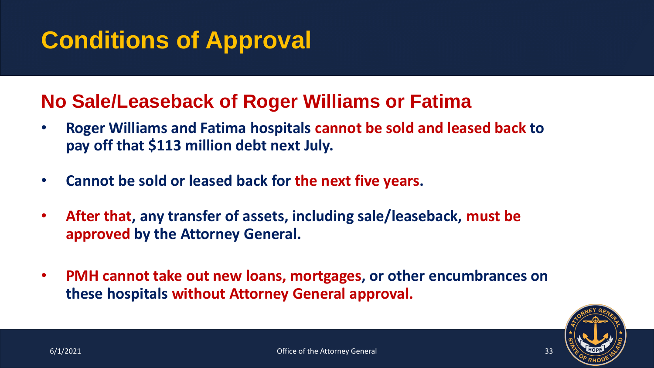#### **No Sale/Leaseback of Roger Williams or Fatima**

- **Roger Williams and Fatima hospitals cannot be sold and leased back to pay off that \$113 million debt next July.**
- **Cannot be sold or leased back for the next five years.**
- **After that, any transfer of assets, including sale/leaseback, must be approved by the Attorney General.**
- **PMH cannot take out new loans, mortgages, or other encumbrances on these hospitals without Attorney General approval.**

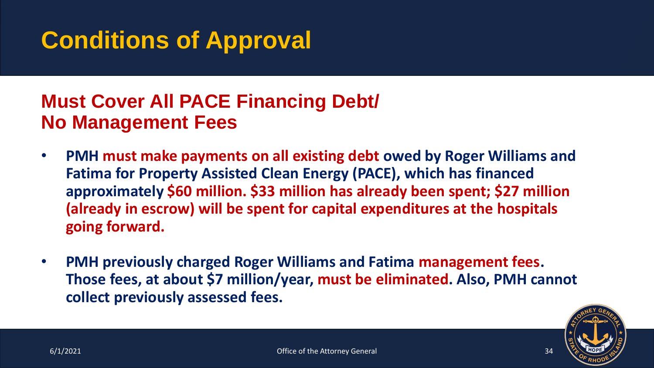#### **Must Cover All PACE Financing Debt/ No Management Fees**

- **PMH must make payments on all existing debt owed by Roger Williams and Fatima for Property Assisted Clean Energy (PACE), which has financed approximately \$60 million. \$33 million has already been spent; \$27 million (already in escrow) will be spent for capital expenditures at the hospitals going forward.**
- **PMH previously charged Roger Williams and Fatima management fees. Those fees, at about \$7 million/year, must be eliminated. Also, PMH cannot collect previously assessed fees.**

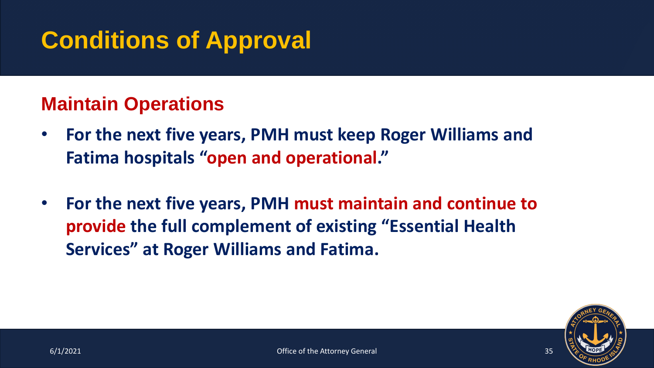#### **Maintain Operations**

- **For the next five years, PMH must keep Roger Williams and Fatima hospitals "open and operational."**
- **For the next five years, PMH must maintain and continue to provide the full complement of existing "Essential Health Services" at Roger Williams and Fatima.**

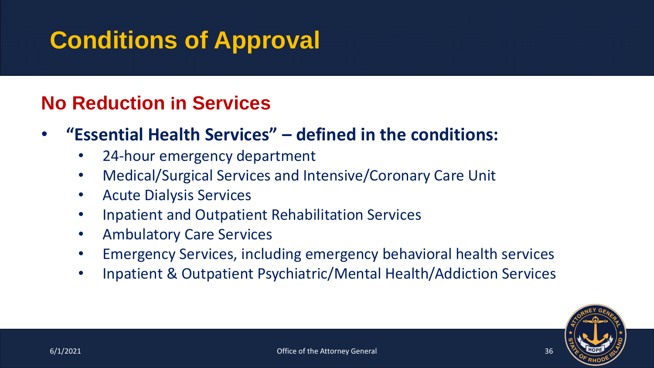#### **No Reduction in Services**

- **"Essential Health Services" – defined in the conditions:**
	- 24-hour emergency department
	- Medical/Surgical Services and Intensive/Coronary Care Unit
	- Acute Dialysis Services
	- Inpatient and Outpatient Rehabilitation Services
	- Ambulatory Care Services
	- Emergency Services, including emergency behavioral health services
	- Inpatient & Outpatient Psychiatric/Mental Health/Addiction Services

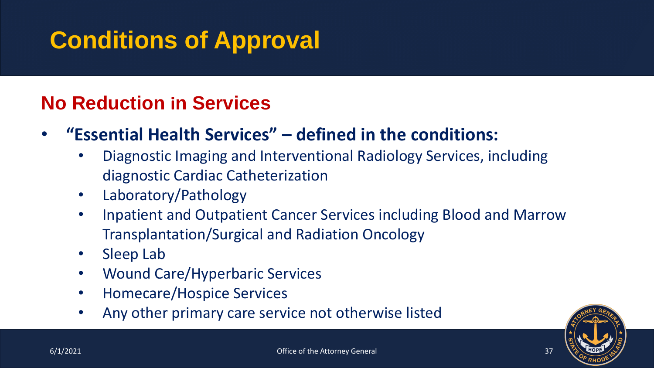#### **No Reduction in Services**

- **"Essential Health Services" – defined in the conditions:**
	- Diagnostic Imaging and Interventional Radiology Services, including diagnostic Cardiac Catheterization
	- Laboratory/Pathology
	- Inpatient and Outpatient Cancer Services including Blood and Marrow Transplantation/Surgical and Radiation Oncology
	- Sleep Lab
	- Wound Care/Hyperbaric Services
	- Homecare/Hospice Services
	- Any other primary care service not otherwise listed

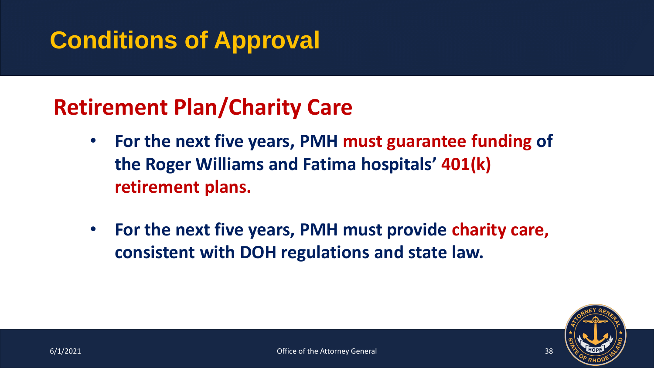#### **Retirement Plan/Charity Care**

- **For the next five years, PMH must guarantee funding of the Roger Williams and Fatima hospitals' 401(k) retirement plans.**
- **For the next five years, PMH must provide charity care, consistent with DOH regulations and state law.**

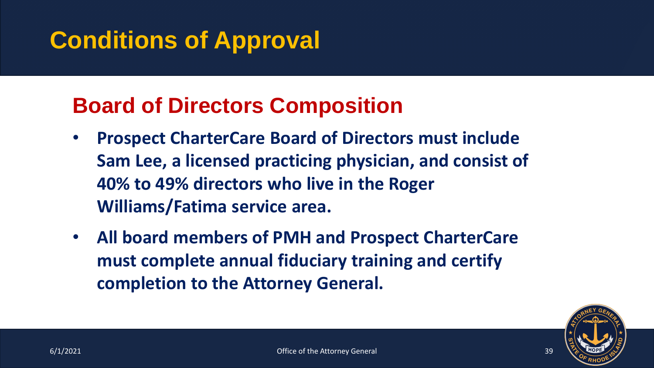#### **Board of Directors Composition**

- **Prospect CharterCare Board of Directors must include Sam Lee, a licensed practicing physician, and consist of 40% to 49% directors who live in the Roger Williams/Fatima service area.**
- **All board members of PMH and Prospect CharterCare must complete annual fiduciary training and certify completion to the Attorney General.**

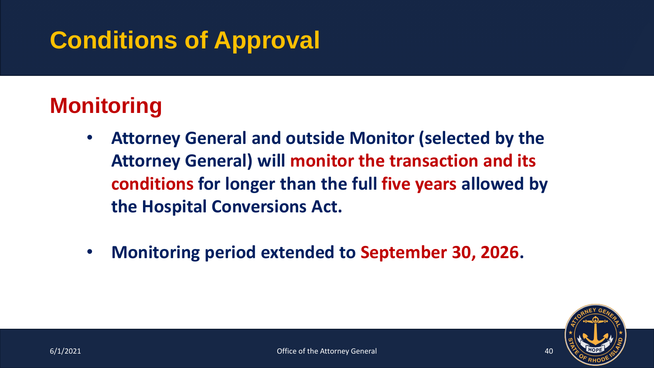#### **Monitoring**

- **Attorney General and outside Monitor (selected by the Attorney General) will monitor the transaction and its conditions for longer than the full five years allowed by the Hospital Conversions Act.**
- **Monitoring period extended to September 30, 2026.**